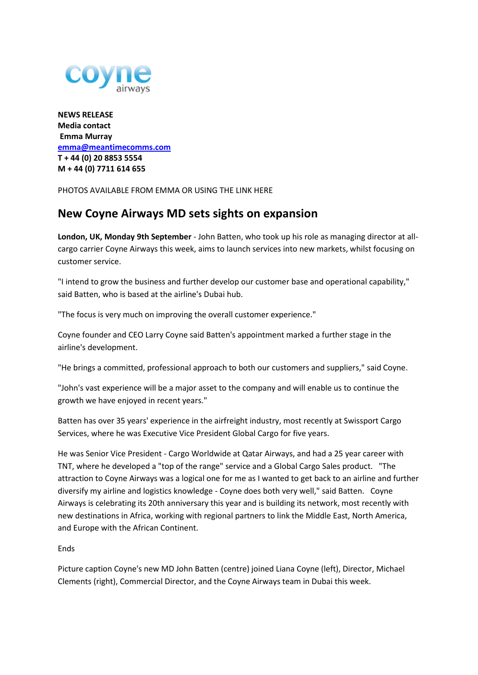

**NEWS RELEASE Media contact Emma Murray [emma@meantimecomms.com](mailto:emma@meantimecomms.com) T + 44 (0) 20 8853 5554 M + 44 (0) 7711 614 655** 

PHOTOS AVAILABLE FROM EMMA OR USING THE LINK HERE

## **New Coyne Airways MD sets sights on expansion**

**London, UK, Monday 9th September** - John Batten, who took up his role as managing director at allcargo carrier Coyne Airways this week, aims to launch services into new markets, whilst focusing on customer service.

"I intend to grow the business and further develop our customer base and operational capability," said Batten, who is based at the airline's Dubai hub.

"The focus is very much on improving the overall customer experience."

Coyne founder and CEO Larry Coyne said Batten's appointment marked a further stage in the airline's development.

"He brings a committed, professional approach to both our customers and suppliers," said Coyne.

"John's vast experience will be a major asset to the company and will enable us to continue the growth we have enjoyed in recent years."

Batten has over 35 years' experience in the airfreight industry, most recently at Swissport Cargo Services, where he was Executive Vice President Global Cargo for five years.

He was Senior Vice President - Cargo Worldwide at Qatar Airways, and had a 25 year career with TNT, where he developed a "top of the range" service and a Global Cargo Sales product. "The attraction to Coyne Airways was a logical one for me as I wanted to get back to an airline and further diversify my airline and logistics knowledge - Coyne does both very well," said Batten. Coyne Airways is celebrating its 20th anniversary this year and is building its network, most recently with new destinations in Africa, working with regional partners to link the Middle East, North America, and Europe with the African Continent.

Ends

Picture caption Coyne's new MD John Batten (centre) joined Liana Coyne (left), Director, Michael Clements (right), Commercial Director, and the Coyne Airways team in Dubai this week.